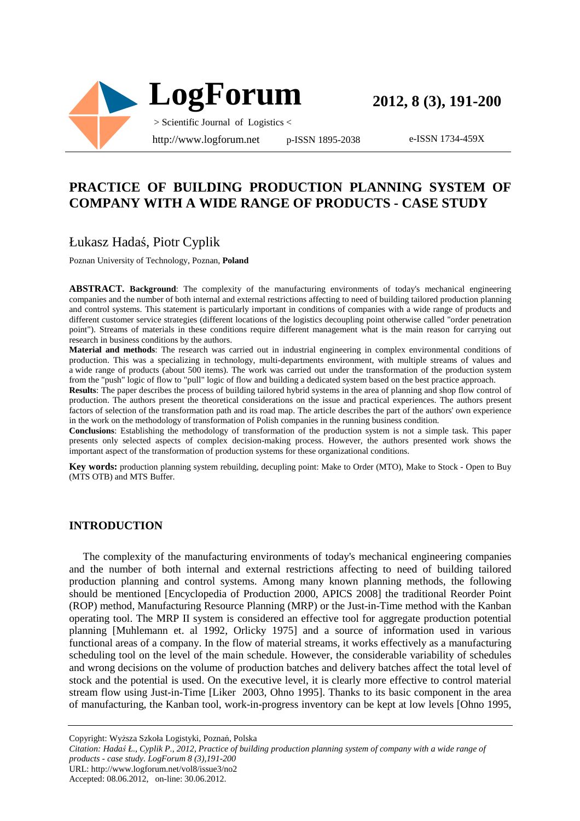

**2012, 8 (3), 191-200**

e-ISSN 1734-459X

## **PRACTICE OF BUILDING PRODUCTION PLANNING SYSTEM OF COMPANY WITH A WIDE RANGE OF PRODUCTS - CASE STUDY**

## Łukasz Hadaś, Piotr Cyplik

Poznan University of Technology, Poznan, **Poland**

**ABSTRACT. Background**: The complexity of the manufacturing environments of today's mechanical engineering companies and the number of both internal and external restrictions affecting to need of building tailored production planning and control systems. This statement is particularly important in conditions of companies with a wide range of products and different customer service strategies (different locations of the logistics decoupling point otherwise called "order penetration point"). Streams of materials in these conditions require different management what is the main reason for carrying out research in business conditions by the authors.

**Material and methods**: The research was carried out in industrial engineering in complex environmental conditions of production. This was a specializing in technology, multi-departments environment, with multiple streams of values and a wide range of products (about 500 items). The work was carried out under the transformation of the production system from the "push" logic of flow to "pull" logic of flow and building a dedicated system based on the best practice approach.

**Results**: The paper describes the process of building tailored hybrid systems in the area of planning and shop flow control of production. The authors present the theoretical considerations on the issue and practical experiences. The authors present factors of selection of the transformation path and its road map. The article describes the part of the authors' own experience in the work on the methodology of transformation of Polish companies in the running business condition.

**Conclusions**: Establishing the methodology of transformation of the production system is not a simple task. This paper presents only selected aspects of complex decision-making process. However, the authors presented work shows the important aspect of the transformation of production systems for these organizational conditions.

**Key words:** production planning system rebuilding, decupling point: Make to Order (MTO), Make to Stock - Open to Buy (MTS OTB) and MTS Buffer.

#### **INTRODUCTION**

The complexity of the manufacturing environments of today's mechanical engineering companies and the number of both internal and external restrictions affecting to need of building tailored production planning and control systems. Among many known planning methods, the following should be mentioned [Encyclopedia of Production 2000, APICS 2008] the traditional Reorder Point (ROP) method, Manufacturing Resource Planning (MRP) or the Just-in-Time method with the Kanban operating tool. The MRP II system is considered an effective tool for aggregate production potential planning [Muhlemann et. al 1992, Orlicky 1975] and a source of information used in various functional areas of a company. In the flow of material streams, it works effectively as a manufacturing scheduling tool on the level of the main schedule. However, the considerable variability of schedules and wrong decisions on the volume of production batches and delivery batches affect the total level of stock and the potential is used. On the executive level, it is clearly more effective to control material stream flow using Just-in-Time [Liker 2003, Ohno 1995]. Thanks to its basic component in the area of manufacturing, the Kanban tool, work-in-progress inventory can be kept at low levels [Ohno 1995,

Copyright: Wyższa Szkoła Logistyki, Poznań, Polska

*Citation: Hadaś Ł., Cyplik P., 2012, Practice of building production planning system of company with a wide range of products - case study. LogForum 8 (3),191-200*  URL: http://www.logforum.net/vol8/issue3/no2

Accepted: 08.06.2012, on-line: 30.06.2012.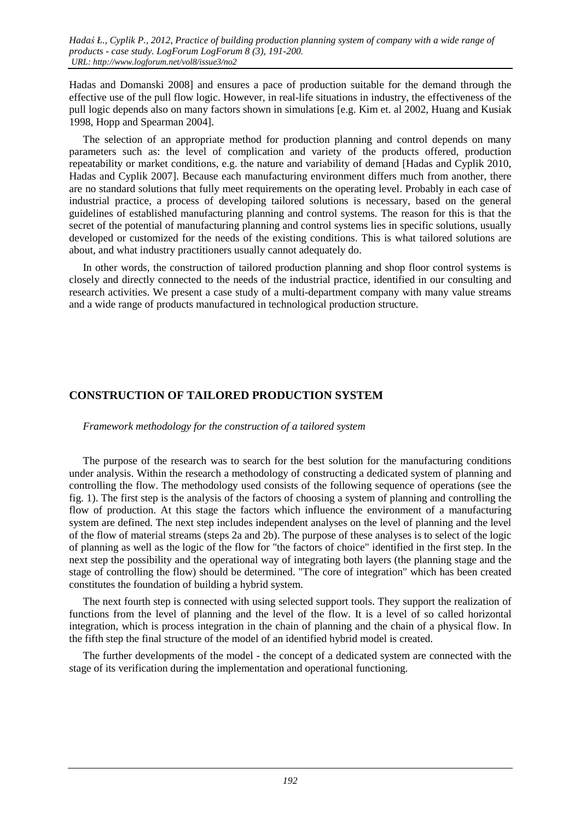Hadas and Domanski 2008] and ensures a pace of production suitable for the demand through the effective use of the pull flow logic. However, in real-life situations in industry, the effectiveness of the pull logic depends also on many factors shown in simulations [e.g. Kim et. al 2002, Huang and Kusiak 1998, Hopp and Spearman 2004].

The selection of an appropriate method for production planning and control depends on many parameters such as: the level of complication and variety of the products offered, production repeatability or market conditions, e.g. the nature and variability of demand [Hadas and Cyplik 2010, Hadas and Cyplik 2007]. Because each manufacturing environment differs much from another, there are no standard solutions that fully meet requirements on the operating level. Probably in each case of industrial practice, a process of developing tailored solutions is necessary, based on the general guidelines of established manufacturing planning and control systems. The reason for this is that the secret of the potential of manufacturing planning and control systems lies in specific solutions, usually developed or customized for the needs of the existing conditions. This is what tailored solutions are about, and what industry practitioners usually cannot adequately do.

In other words, the construction of tailored production planning and shop floor control systems is closely and directly connected to the needs of the industrial practice, identified in our consulting and research activities. We present a case study of a multi-department company with many value streams and a wide range of products manufactured in technological production structure.

## **CONSTRUCTION OF TAILORED PRODUCTION SYSTEM**

### *Framework methodology for the construction of a tailored system*

The purpose of the research was to search for the best solution for the manufacturing conditions under analysis. Within the research a methodology of constructing a dedicated system of planning and controlling the flow. The methodology used consists of the following sequence of operations (see the fig. 1). The first step is the analysis of the factors of choosing a system of planning and controlling the flow of production. At this stage the factors which influence the environment of a manufacturing system are defined. The next step includes independent analyses on the level of planning and the level of the flow of material streams (steps 2a and 2b). The purpose of these analyses is to select of the logic of planning as well as the logic of the flow for "the factors of choice" identified in the first step. In the next step the possibility and the operational way of integrating both layers (the planning stage and the stage of controlling the flow) should be determined. "The core of integration" which has been created constitutes the foundation of building a hybrid system.

The next fourth step is connected with using selected support tools. They support the realization of functions from the level of planning and the level of the flow. It is a level of so called horizontal integration, which is process integration in the chain of planning and the chain of a physical flow. In the fifth step the final structure of the model of an identified hybrid model is created.

The further developments of the model - the concept of a dedicated system are connected with the stage of its verification during the implementation and operational functioning.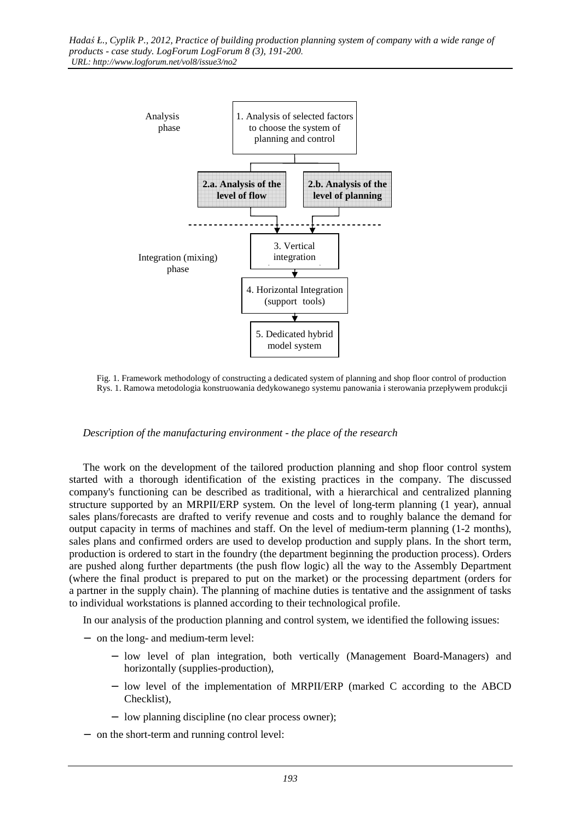

 Fig. 1. Framework methodology of constructing a dedicated system of planning and shop floor control of production Rys. 1. Ramowa metodologia konstruowania dedykowanego systemu panowania i sterowania przepływem produkcji

### *Description of the manufacturing environment - the place of the research*

The work on the development of the tailored production planning and shop floor control system started with a thorough identification of the existing practices in the company. The discussed company's functioning can be described as traditional, with a hierarchical and centralized planning structure supported by an MRPII/ERP system. On the level of long-term planning (1 year), annual sales plans/forecasts are drafted to verify revenue and costs and to roughly balance the demand for output capacity in terms of machines and staff. On the level of medium-term planning (1-2 months), sales plans and confirmed orders are used to develop production and supply plans. In the short term, production is ordered to start in the foundry (the department beginning the production process). Orders are pushed along further departments (the push flow logic) all the way to the Assembly Department (where the final product is prepared to put on the market) or the processing department (orders for a partner in the supply chain). The planning of machine duties is tentative and the assignment of tasks to individual workstations is planned according to their technological profile.

In our analysis of the production planning and control system, we identified the following issues:

- − on the long- and medium-term level:
	- − low level of plan integration, both vertically (Management Board-Managers) and horizontally (supplies-production),
	- − low level of the implementation of MRPII/ERP (marked C according to the ABCD Checklist),
	- − low planning discipline (no clear process owner);
- − on the short-term and running control level: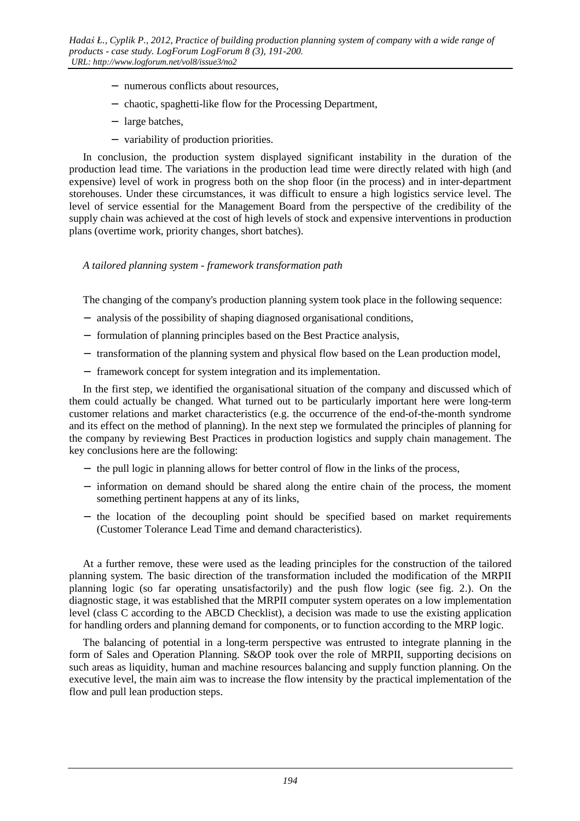- − numerous conflicts about resources,
- − chaotic, spaghetti-like flow for the Processing Department,
- − large batches,
- − variability of production priorities.

In conclusion, the production system displayed significant instability in the duration of the production lead time. The variations in the production lead time were directly related with high (and expensive) level of work in progress both on the shop floor (in the process) and in inter-department storehouses. Under these circumstances, it was difficult to ensure a high logistics service level. The level of service essential for the Management Board from the perspective of the credibility of the supply chain was achieved at the cost of high levels of stock and expensive interventions in production plans (overtime work, priority changes, short batches).

*A tailored planning system - framework transformation path* 

The changing of the company's production planning system took place in the following sequence:

- − analysis of the possibility of shaping diagnosed organisational conditions,
- − formulation of planning principles based on the Best Practice analysis,
- − transformation of the planning system and physical flow based on the Lean production model,
- − framework concept for system integration and its implementation.

In the first step, we identified the organisational situation of the company and discussed which of them could actually be changed. What turned out to be particularly important here were long-term customer relations and market characteristics (e.g. the occurrence of the end-of-the-month syndrome and its effect on the method of planning). In the next step we formulated the principles of planning for the company by reviewing Best Practices in production logistics and supply chain management. The key conclusions here are the following:

- − the pull logic in planning allows for better control of flow in the links of the process,
- − information on demand should be shared along the entire chain of the process, the moment something pertinent happens at any of its links,
- − the location of the decoupling point should be specified based on market requirements (Customer Tolerance Lead Time and demand characteristics).

At a further remove, these were used as the leading principles for the construction of the tailored planning system. The basic direction of the transformation included the modification of the MRPII planning logic (so far operating unsatisfactorily) and the push flow logic (see fig. 2.). On the diagnostic stage, it was established that the MRPII computer system operates on a low implementation level (class C according to the ABCD Checklist), a decision was made to use the existing application for handling orders and planning demand for components, or to function according to the MRP logic.

The balancing of potential in a long-term perspective was entrusted to integrate planning in the form of Sales and Operation Planning. S&OP took over the role of MRPII, supporting decisions on such areas as liquidity, human and machine resources balancing and supply function planning. On the executive level, the main aim was to increase the flow intensity by the practical implementation of the flow and pull lean production steps.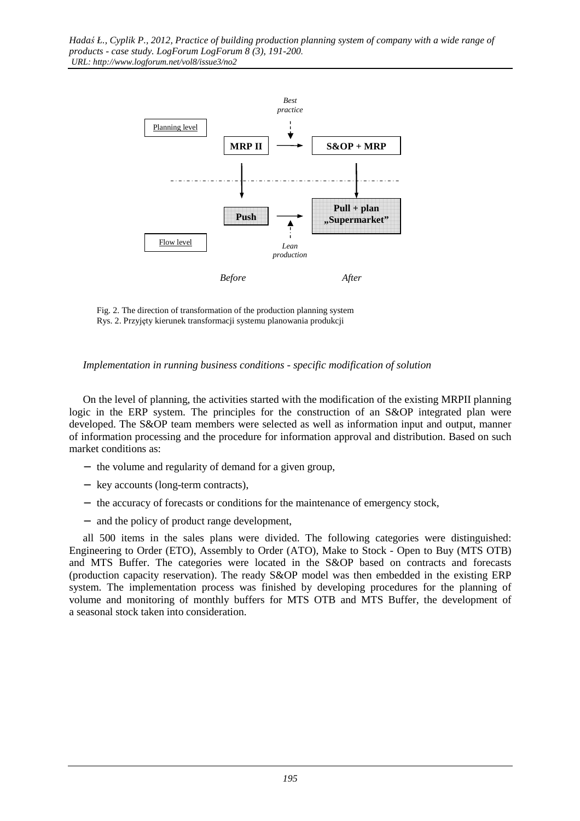

 Fig. 2. The direction of transformation of the production planning system Rys. 2. Przyjęty kierunek transformacji systemu planowania produkcji

### *Implementation in running business conditions - specific modification of solution*

On the level of planning, the activities started with the modification of the existing MRPII planning logic in the ERP system. The principles for the construction of an S&OP integrated plan were developed. The S&OP team members were selected as well as information input and output, manner of information processing and the procedure for information approval and distribution. Based on such market conditions as:

- − the volume and regularity of demand for a given group,
- − key accounts (long-term contracts),
- − the accuracy of forecasts or conditions for the maintenance of emergency stock,
- − and the policy of product range development,

all 500 items in the sales plans were divided. The following categories were distinguished: Engineering to Order (ETO), Assembly to Order (ATO), Make to Stock - Open to Buy (MTS OTB) and MTS Buffer. The categories were located in the S&OP based on contracts and forecasts (production capacity reservation). The ready S&OP model was then embedded in the existing ERP system. The implementation process was finished by developing procedures for the planning of volume and monitoring of monthly buffers for MTS OTB and MTS Buffer, the development of a seasonal stock taken into consideration.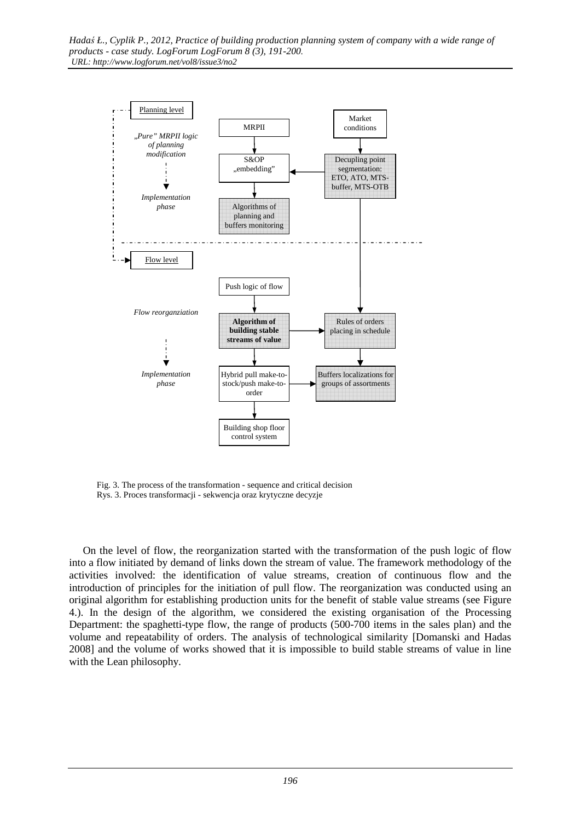

 Fig. 3. The process of the transformation - sequence and critical decision Rys. 3. Proces transformacji - sekwencja oraz krytyczne decyzje

On the level of flow, the reorganization started with the transformation of the push logic of flow into a flow initiated by demand of links down the stream of value. The framework methodology of the activities involved: the identification of value streams, creation of continuous flow and the introduction of principles for the initiation of pull flow. The reorganization was conducted using an original algorithm for establishing production units for the benefit of stable value streams (see Figure 4.). In the design of the algorithm, we considered the existing organisation of the Processing Department: the spaghetti-type flow, the range of products (500-700 items in the sales plan) and the volume and repeatability of orders. The analysis of technological similarity [Domanski and Hadas 2008] and the volume of works showed that it is impossible to build stable streams of value in line with the Lean philosophy.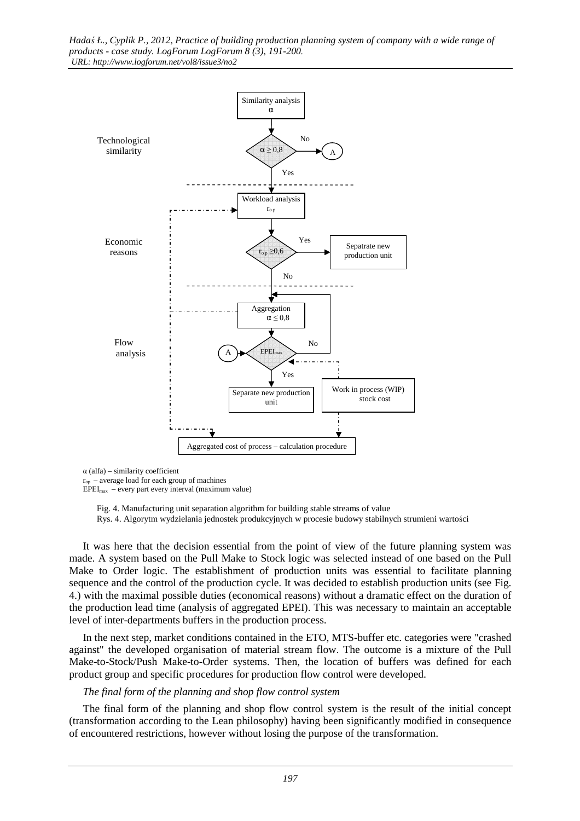

 $\alpha$  (alfa) – similarity coefficient

 $r_{op}$  – average load for each group of machines

 $EPEI_{max}$  – every part every interval (maximum value)

 Fig. 4. Manufacturing unit separation algorithm for building stable streams of value Rys. 4. Algorytm wydzielania jednostek produkcyjnych w procesie budowy stabilnych strumieni wartości

It was here that the decision essential from the point of view of the future planning system was made. A system based on the Pull Make to Stock logic was selected instead of one based on the Pull Make to Order logic. The establishment of production units was essential to facilitate planning sequence and the control of the production cycle. It was decided to establish production units (see Fig. 4.) with the maximal possible duties (economical reasons) without a dramatic effect on the duration of the production lead time (analysis of aggregated EPEI). This was necessary to maintain an acceptable level of inter-departments buffers in the production process.

In the next step, market conditions contained in the ETO, MTS-buffer etc. categories were "crashed against" the developed organisation of material stream flow. The outcome is a mixture of the Pull Make-to-Stock/Push Make-to-Order systems. Then, the location of buffers was defined for each product group and specific procedures for production flow control were developed.

#### *The final form of the planning and shop flow control system*

The final form of the planning and shop flow control system is the result of the initial concept (transformation according to the Lean philosophy) having been significantly modified in consequence of encountered restrictions, however without losing the purpose of the transformation.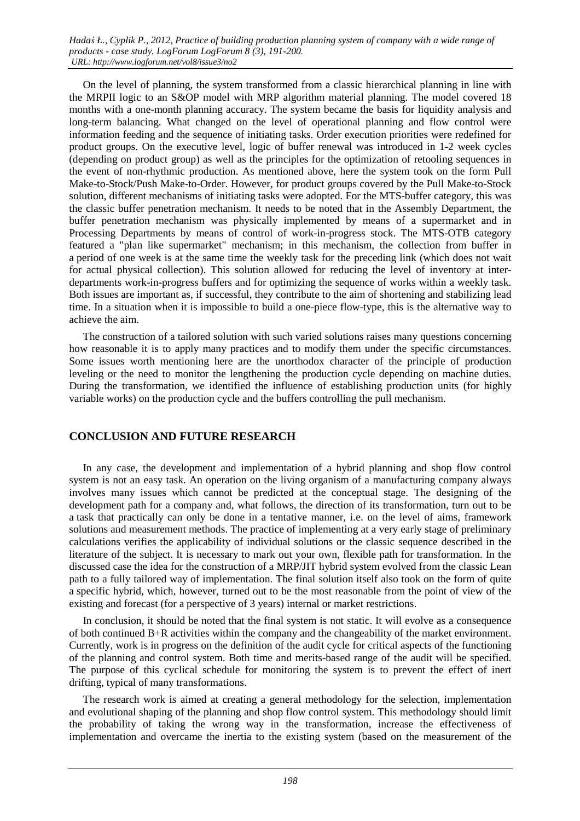On the level of planning, the system transformed from a classic hierarchical planning in line with the MRPII logic to an S&OP model with MRP algorithm material planning. The model covered 18 months with a one-month planning accuracy. The system became the basis for liquidity analysis and long-term balancing. What changed on the level of operational planning and flow control were information feeding and the sequence of initiating tasks. Order execution priorities were redefined for product groups. On the executive level, logic of buffer renewal was introduced in 1-2 week cycles (depending on product group) as well as the principles for the optimization of retooling sequences in the event of non-rhythmic production. As mentioned above, here the system took on the form Pull Make-to-Stock/Push Make-to-Order. However, for product groups covered by the Pull Make-to-Stock solution, different mechanisms of initiating tasks were adopted. For the MTS-buffer category, this was the classic buffer penetration mechanism. It needs to be noted that in the Assembly Department, the buffer penetration mechanism was physically implemented by means of a supermarket and in Processing Departments by means of control of work-in-progress stock. The MTS-OTB category featured a "plan like supermarket" mechanism; in this mechanism, the collection from buffer in a period of one week is at the same time the weekly task for the preceding link (which does not wait for actual physical collection). This solution allowed for reducing the level of inventory at interdepartments work-in-progress buffers and for optimizing the sequence of works within a weekly task. Both issues are important as, if successful, they contribute to the aim of shortening and stabilizing lead time. In a situation when it is impossible to build a one-piece flow-type, this is the alternative way to achieve the aim.

The construction of a tailored solution with such varied solutions raises many questions concerning how reasonable it is to apply many practices and to modify them under the specific circumstances. Some issues worth mentioning here are the unorthodox character of the principle of production leveling or the need to monitor the lengthening the production cycle depending on machine duties. During the transformation, we identified the influence of establishing production units (for highly variable works) on the production cycle and the buffers controlling the pull mechanism.

## **CONCLUSION AND FUTURE RESEARCH**

In any case, the development and implementation of a hybrid planning and shop flow control system is not an easy task. An operation on the living organism of a manufacturing company always involves many issues which cannot be predicted at the conceptual stage. The designing of the development path for a company and, what follows, the direction of its transformation, turn out to be a task that practically can only be done in a tentative manner, i.e. on the level of aims, framework solutions and measurement methods. The practice of implementing at a very early stage of preliminary calculations verifies the applicability of individual solutions or the classic sequence described in the literature of the subject. It is necessary to mark out your own, flexible path for transformation. In the discussed case the idea for the construction of a MRP/JIT hybrid system evolved from the classic Lean path to a fully tailored way of implementation. The final solution itself also took on the form of quite a specific hybrid, which, however, turned out to be the most reasonable from the point of view of the existing and forecast (for a perspective of 3 years) internal or market restrictions.

In conclusion, it should be noted that the final system is not static. It will evolve as a consequence of both continued B+R activities within the company and the changeability of the market environment. Currently, work is in progress on the definition of the audit cycle for critical aspects of the functioning of the planning and control system. Both time and merits-based range of the audit will be specified. The purpose of this cyclical schedule for monitoring the system is to prevent the effect of inert drifting, typical of many transformations.

The research work is aimed at creating a general methodology for the selection, implementation and evolutional shaping of the planning and shop flow control system. This methodology should limit the probability of taking the wrong way in the transformation, increase the effectiveness of implementation and overcame the inertia to the existing system (based on the measurement of the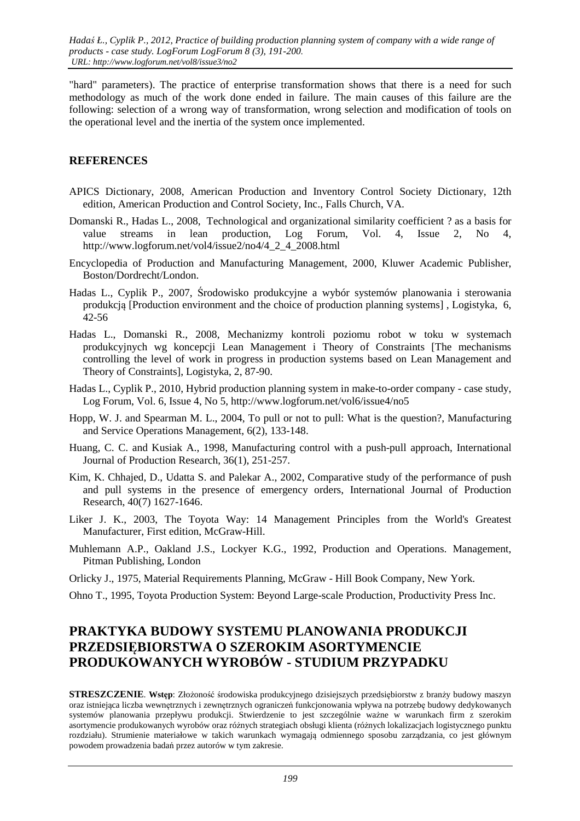"hard" parameters). The practice of enterprise transformation shows that there is a need for such methodology as much of the work done ended in failure. The main causes of this failure are the following: selection of a wrong way of transformation, wrong selection and modification of tools on the operational level and the inertia of the system once implemented.

## **REFERENCES**

- APICS Dictionary, 2008, American Production and Inventory Control Society Dictionary, 12th edition, American Production and Control Society, Inc., Falls Church, VA.
- Domanski R., Hadas L., 2008, Technological and organizational similarity coefficient ? as a basis for value streams in lean production, Log Forum, Vol. 4, Issue 2, No 4, http://www.logforum.net/vol4/issue2/no4/4\_2\_4\_2008.html
- Encyclopedia of Production and Manufacturing Management, 2000, Kluwer Academic Publisher, Boston/Dordrecht/London.
- Hadas L., Cyplik P., 2007, Środowisko produkcyjne a wybór systemów planowania i sterowania produkcją [Production environment and the choice of production planning systems] , Logistyka, 6, 42-56
- Hadas L., Domanski R., 2008, Mechanizmy kontroli poziomu robot w toku w systemach produkcyjnych wg koncepcji Lean Management i Theory of Constraints [The mechanisms controlling the level of work in progress in production systems based on Lean Management and Theory of Constraints], Logistyka, 2, 87-90.
- Hadas L., Cyplik P., 2010, Hybrid production planning system in make-to-order company case study, Log Forum, Vol. 6, Issue 4, No 5, http://www.logforum.net/vol6/issue4/no5
- Hopp, W. J. and Spearman M. L., 2004, To pull or not to pull: What is the question?, Manufacturing and Service Operations Management, 6(2), 133-148.
- Huang, C. C. and Kusiak A., 1998, Manufacturing control with a push-pull approach, International Journal of Production Research, 36(1), 251-257.
- Kim, K. Chhajed, D., Udatta S. and Palekar A., 2002, Comparative study of the performance of push and pull systems in the presence of emergency orders, International Journal of Production Research, 40(7) 1627-1646.
- Liker J. K., 2003, The Toyota Way: 14 Management Principles from the World's Greatest Manufacturer, First edition, McGraw-Hill.
- Muhlemann A.P., Oakland J.S., Lockyer K.G., 1992, Production and Operations. Management, Pitman Publishing, London
- Orlicky J., 1975, Material Requirements Planning, McGraw Hill Book Company, New York.
- Ohno T., 1995, Toyota Production System: Beyond Large-scale Production, Productivity Press Inc.

# **PRAKTYKA BUDOWY SYSTEMU PLANOWANIA PRODUKCJI PRZEDSIĘBIORSTWA O SZEROKIM ASORTYMENCIE PRODUKOWANYCH WYROBÓW - STUDIUM PRZYPADKU**

**STRESZCZENIE**. **Wstęp**: Złożoność środowiska produkcyjnego dzisiejszych przedsiębiorstw z branży budowy maszyn oraz istniejąca liczba wewnętrznych i zewnętrznych ograniczeń funkcjonowania wpływa na potrzebę budowy dedykowanych systemów planowania przepływu produkcji. Stwierdzenie to jest szczególnie ważne w warunkach firm z szerokim asortymencie produkowanych wyrobów oraz różnych strategiach obsługi klienta (różnych lokalizacjach logistycznego punktu rozdziału). Strumienie materiałowe w takich warunkach wymagają odmiennego sposobu zarządzania, co jest głównym powodem prowadzenia badań przez autorów w tym zakresie.